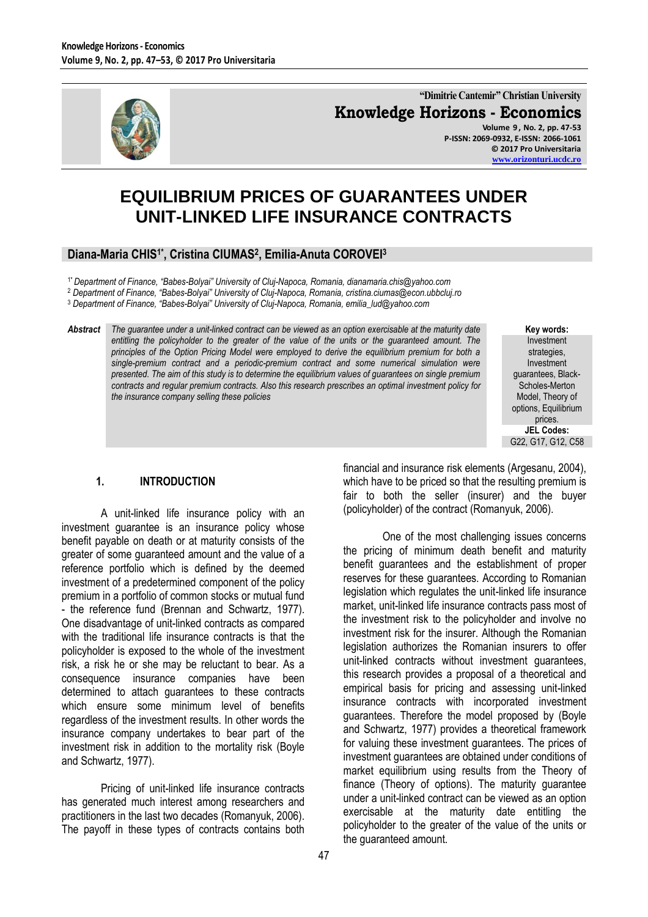

**"Dimitrie Cantemir" Christian University Knowledge Horizons - Economics Volume 9 , No. 2, pp. 47-53**

**P-ISSN: 2069-0932, E-ISSN: 2066-1061 © 2017 Pro Universitaria [www.orizonturi.ucdc.ro](http://www.orizonturi.ucdc.ro/)**

# **EQUILIBRIUM PRICES OF GUARANTEES UNDER UNIT-LINKED LIFE INSURANCE CONTRACTS**

#### **Diana-Maria CHIS1\* , Cristina CIUMAS<sup>2</sup> , Emilia-Anuta COROVEI<sup>3</sup>**

1\**Department of Finance, "Babes-Bolyai" University of Cluj-Napoca, Romania, dianamaria.chis@yahoo.com*

<sup>2</sup> *Department of Finance, "Babes-Bolyai" University of Cluj-Napoca, Romania, cristina.ciumas@econ.ubbcluj.ro*

<sup>3</sup> *Department of Finance, "Babes-Bolyai" University of Cluj-Napoca, Romania, emilia\_lud@yahoo.com*

*Abstract The guarantee under a unit-linked contract can be viewed as an option exercisable at the maturity date entitling the policyholder to the greater of the value of the units or the guaranteed amount. The principles of the Option Pricing Model were employed to derive the equilibrium premium for both a single-premium contract and a periodic-premium contract and some numerical simulation were presented. The aim of this study is to determine the equilibrium values of guarantees on single premium contracts and regular premium contracts. Also this research prescribes an optimal investment policy for the insurance company selling these policies*

**Key words:** Investment strategies, Investment guarantees, Black-Scholes-Merton Model, Theory of options, Equilibrium prices. **JEL Codes:** G22, G17, G12, C58

#### **1. INTRODUCTION**

A unit-linked life insurance policy with an investment guarantee is an insurance policy whose benefit payable on death or at maturity consists of the greater of some guaranteed amount and the value of a reference portfolio which is defined by the deemed investment of a predetermined component of the policy premium in a portfolio of common stocks or mutual fund - the reference fund (Brennan and Schwartz, 1977). One disadvantage of unit-linked contracts as compared with the traditional life insurance contracts is that the policyholder is exposed to the whole of the investment risk, a risk he or she may be reluctant to bear. As a consequence insurance companies have been determined to attach guarantees to these contracts which ensure some minimum level of benefits regardless of the investment results. In other words the insurance company undertakes to bear part of the investment risk in addition to the mortality risk (Boyle and Schwartz, 1977).

Pricing of unit-linked life insurance contracts has generated much interest among researchers and practitioners in the last two decades (Romanyuk, 2006). The payoff in these types of contracts contains both

financial and insurance risk elements (Argesanu, 2004), which have to be priced so that the resulting premium is fair to both the seller (insurer) and the buyer (policyholder) of the contract (Romanyuk, 2006).

One of the most challenging issues concerns the pricing of minimum death benefit and maturity benefit guarantees and the establishment of proper reserves for these guarantees. According to Romanian legislation which regulates the unit-linked life insurance market, unit-linked life insurance contracts pass most of the investment risk to the policyholder and involve no investment risk for the insurer. Although the Romanian legislation authorizes the Romanian insurers to offer unit-linked contracts without investment guarantees, this research provides a proposal of a theoretical and empirical basis for pricing and assessing unit-linked insurance contracts with incorporated investment guarantees. Therefore the model proposed by (Boyle and Schwartz, 1977) provides a theoretical framework for valuing these investment guarantees. The prices of investment guarantees are obtained under conditions of market equilibrium using results from the Theory of finance (Theory of options). The maturity guarantee under a unit-linked contract can be viewed as an option exercisable at the maturity date entitling the policyholder to the greater of the value of the units or the guaranteed amount.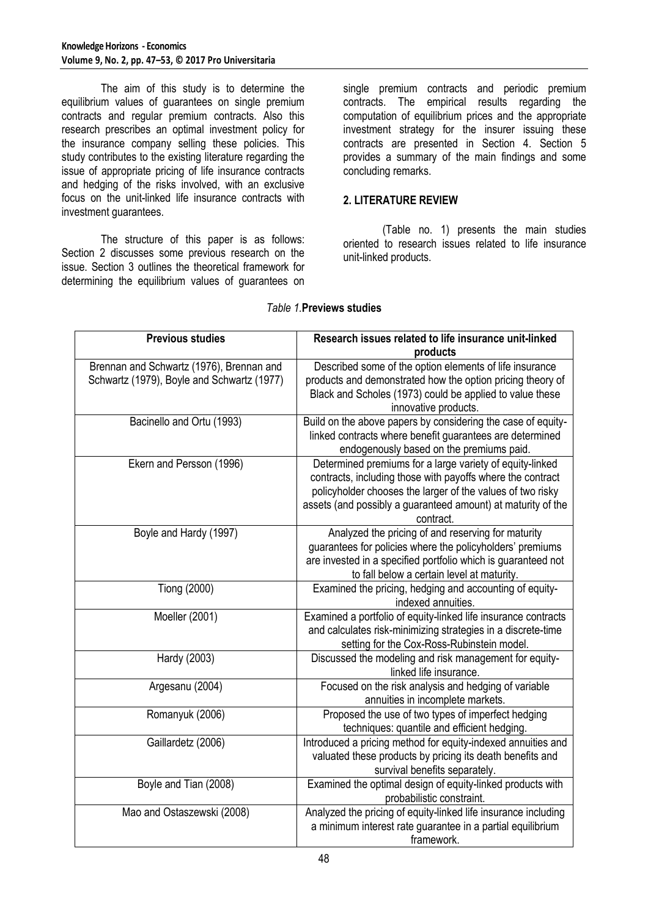The aim of this study is to determine the equilibrium values of guarantees on single premium contracts and regular premium contracts. Also this research prescribes an optimal investment policy for the insurance company selling these policies. This study contributes to the existing literature regarding the issue of appropriate pricing of life insurance contracts and hedging of the risks involved, with an exclusive focus on the unit-linked life insurance contracts with investment guarantees.

The structure of this paper is as follows: Section 2 discusses some previous research on the issue. Section 3 outlines the theoretical framework for determining the equilibrium values of guarantees on

single premium contracts and periodic premium contracts. The empirical results regarding the computation of equilibrium prices and the appropriate investment strategy for the insurer issuing these contracts are presented in Section 4. Section 5 provides a summary of the main findings and some concluding remarks.

### **2. LITERATURE REVIEW**

(Table no. 1) presents the main studies oriented to research issues related to life insurance unit-linked products.

| <b>Previous studies</b>                    | Research issues related to life insurance unit-linked                     |
|--------------------------------------------|---------------------------------------------------------------------------|
|                                            | products                                                                  |
| Brennan and Schwartz (1976), Brennan and   | Described some of the option elements of life insurance                   |
| Schwartz (1979), Boyle and Schwartz (1977) | products and demonstrated how the option pricing theory of                |
|                                            | Black and Scholes (1973) could be applied to value these                  |
|                                            | innovative products.                                                      |
| Bacinello and Ortu (1993)                  | Build on the above papers by considering the case of equity-              |
|                                            | linked contracts where benefit guarantees are determined                  |
|                                            | endogenously based on the premiums paid.                                  |
| Ekern and Persson (1996)                   | Determined premiums for a large variety of equity-linked                  |
|                                            | contracts, including those with payoffs where the contract                |
|                                            | policyholder chooses the larger of the values of two risky                |
|                                            | assets (and possibly a guaranteed amount) at maturity of the<br>contract. |
| Boyle and Hardy (1997)                     | Analyzed the pricing of and reserving for maturity                        |
|                                            | guarantees for policies where the policyholders' premiums                 |
|                                            | are invested in a specified portfolio which is guaranteed not             |
|                                            | to fall below a certain level at maturity.                                |
| Tiong (2000)                               | Examined the pricing, hedging and accounting of equity-                   |
|                                            | indexed annuities.                                                        |
| Moeller (2001)                             | Examined a portfolio of equity-linked life insurance contracts            |
|                                            | and calculates risk-minimizing strategies in a discrete-time              |
|                                            | setting for the Cox-Ross-Rubinstein model.                                |
| Hardy (2003)                               | Discussed the modeling and risk management for equity-                    |
|                                            | linked life insurance.                                                    |
| Argesanu (2004)                            | Focused on the risk analysis and hedging of variable                      |
|                                            | annuities in incomplete markets.                                          |
| Romanyuk (2006)                            | Proposed the use of two types of imperfect hedging                        |
|                                            | techniques: quantile and efficient hedging.                               |
| Gaillardetz (2006)                         | Introduced a pricing method for equity-indexed annuities and              |
|                                            | valuated these products by pricing its death benefits and                 |
|                                            | survival benefits separately.                                             |
| Boyle and Tian (2008)                      | Examined the optimal design of equity-linked products with                |
|                                            | probabilistic constraint.                                                 |
| Mao and Ostaszewski (2008)                 | Analyzed the pricing of equity-linked life insurance including            |
|                                            | a minimum interest rate guarantee in a partial equilibrium                |
|                                            | framework.                                                                |

#### *Table 1.***Previews studies**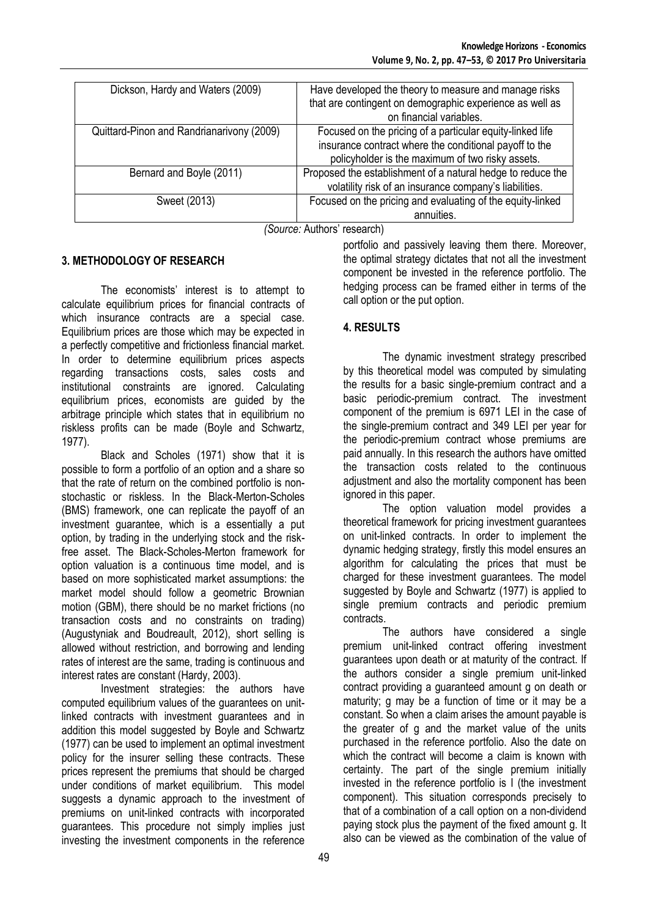| Dickson, Hardy and Waters (2009)          | Have developed the theory to measure and manage risks<br>that are contingent on demographic experience as well as<br>on financial variables.                            |
|-------------------------------------------|-------------------------------------------------------------------------------------------------------------------------------------------------------------------------|
| Quittard-Pinon and Randrianarivony (2009) | Focused on the pricing of a particular equity-linked life<br>insurance contract where the conditional payoff to the<br>policyholder is the maximum of two risky assets. |
| Bernard and Boyle (2011)                  | Proposed the establishment of a natural hedge to reduce the<br>volatility risk of an insurance company's liabilities.                                                   |
| Sweet (2013)                              | Focused on the pricing and evaluating of the equity-linked<br>annuities.                                                                                                |

*(Source:* Authors' research)

## **3. METHODOLOGY OF RESEARCH**

The economists' interest is to attempt to calculate equilibrium prices for financial contracts of which insurance contracts are a special case. Equilibrium prices are those which may be expected in a perfectly competitive and frictionless financial market. In order to determine equilibrium prices aspects regarding transactions costs, sales costs and institutional constraints are ignored. Calculating equilibrium prices, economists are guided by the arbitrage principle which states that in equilibrium no riskless profits can be made (Boyle and Schwartz, 1977).

Black and Scholes (1971) show that it is possible to form a portfolio of an option and a share so that the rate of return on the combined portfolio is nonstochastic or riskless. In the Black-Merton-Scholes (BMS) framework, one can replicate the payoff of an investment guarantee, which is a essentially a put option, by trading in the underlying stock and the riskfree asset. The Black-Scholes-Merton framework for option valuation is a continuous time model, and is based on more sophisticated market assumptions: the market model should follow a geometric Brownian motion (GBM), there should be no market frictions (no transaction costs and no constraints on trading) (Augustyniak and Boudreault, 2012), short selling is allowed without restriction, and borrowing and lending rates of interest are the same, trading is continuous and interest rates are constant (Hardy, 2003).

Investment strategies: the authors have computed equilibrium values of the guarantees on unitlinked contracts with investment guarantees and in addition this model suggested by Boyle and Schwartz (1977) can be used to implement an optimal investment policy for the insurer selling these contracts. These prices represent the premiums that should be charged under conditions of market equilibrium. This model suggests a dynamic approach to the investment of premiums on unit-linked contracts with incorporated guarantees. This procedure not simply implies just investing the investment components in the reference

portfolio and passively leaving them there. Moreover, the optimal strategy dictates that not all the investment component be invested in the reference portfolio. The hedging process can be framed either in terms of the call option or the put option.

#### **4. RESULTS**

The dynamic investment strategy prescribed by this theoretical model was computed by simulating the results for a basic single-premium contract and a basic periodic-premium contract. The investment component of the premium is 6971 LEI in the case of the single-premium contract and 349 LEI per year for the periodic-premium contract whose premiums are paid annually. In this research the authors have omitted the transaction costs related to the continuous adjustment and also the mortality component has been ignored in this paper.

The option valuation model provides a theoretical framework for pricing investment guarantees on unit-linked contracts. In order to implement the dynamic hedging strategy, firstly this model ensures an algorithm for calculating the prices that must be charged for these investment guarantees. The model suggested by Boyle and Schwartz (1977) is applied to single premium contracts and periodic premium contracts.

The authors have considered a single premium unit-linked contract offering investment guarantees upon death or at maturity of the contract. If the authors consider a single premium unit-linked contract providing a guaranteed amount g on death or maturity; g may be a function of time or it may be a constant. So when a claim arises the amount payable is the greater of g and the market value of the units purchased in the reference portfolio. Also the date on which the contract will become a claim is known with certainty. The part of the single premium initially invested in the reference portfolio is I (the investment component). This situation corresponds precisely to that of a combination of a call option on a non-dividend paying stock plus the payment of the fixed amount g. It also can be viewed as the combination of the value of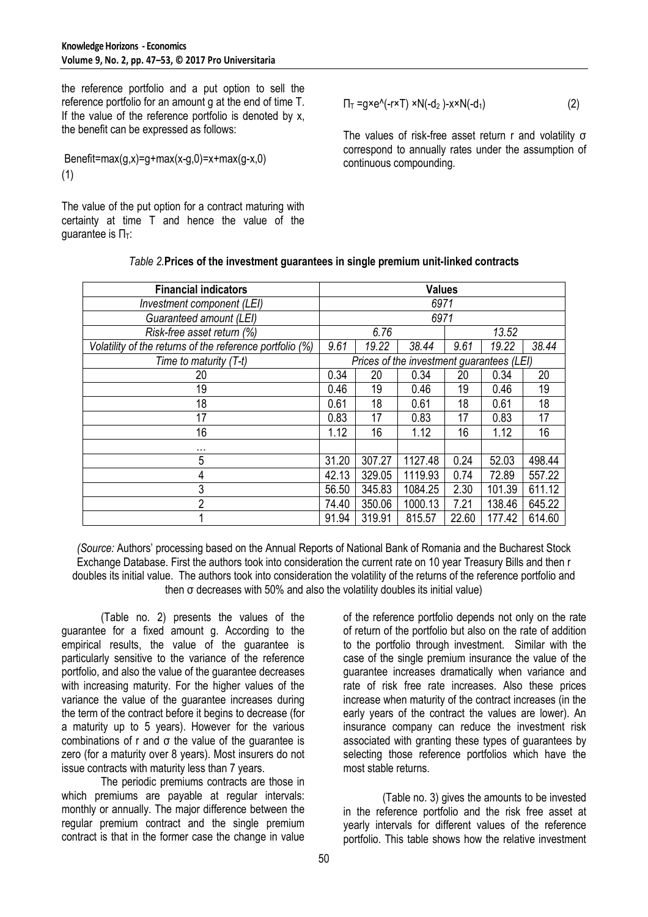the reference portfolio and a put option to sell the reference portfolio for an amount g at the end of time T. If the value of the reference portfolio is denoted by x, the benefit can be expressed as follows:

Benefit=max $(g,x)$ =g+max $(x-g,0)$ =x+max $(g-x,0)$ (1)

The value of the put option for a contract maturing with certainty at time T and hence the value of the quarantee is  $\Pi$ <sup>T</sup>:

$$
\Pi_T = g \times e^{\Lambda}(-r \times T) \times N(-d_2) - x \times N(-d_1)
$$
 (2)

The values of risk-free asset return r and volatility σ correspond to annually rates under the assumption of continuous compounding.

| <b>Financial indicators</b>                              | <b>Values</b>                             |        |         |       |        |        |
|----------------------------------------------------------|-------------------------------------------|--------|---------|-------|--------|--------|
| Investment component (LEI)                               | 6971                                      |        |         |       |        |        |
| Guaranteed amount (LEI)                                  | 6971                                      |        |         |       |        |        |
| Risk-free asset return (%)                               | 6.76<br>13.52                             |        |         |       |        |        |
| Volatility of the returns of the reference portfolio (%) | 9.61                                      | 19.22  | 38.44   | 9.61  | 19.22  | 38.44  |
| Time to maturity (T-t)                                   | Prices of the investment guarantees (LEI) |        |         |       |        |        |
| 20                                                       | 0.34                                      | 20     | 0.34    | 20    | 0.34   | 20     |
| 19                                                       | 0.46                                      | 19     | 0.46    | 19    | 0.46   | 19     |
| 18                                                       | 0.61                                      | 18     | 0.61    | 18    | 0.61   | 18     |
| 17                                                       | 0.83                                      | 17     | 0.83    | 17    | 0.83   | 17     |
| 16                                                       | 1.12                                      | 16     | 1.12    | 16    | 1.12   | 16     |
| .                                                        |                                           |        |         |       |        |        |
| 5                                                        | 31.20                                     | 307.27 | 1127.48 | 0.24  | 52.03  | 498.44 |
| 4                                                        | 42.13                                     | 329.05 | 1119.93 | 0.74  | 72.89  | 557.22 |
| 3                                                        | 56.50                                     | 345.83 | 1084.25 | 2.30  | 101.39 | 611.12 |
| $\overline{2}$                                           | 74.40                                     | 350.06 | 1000.13 | 7.21  | 138.46 | 645.22 |
|                                                          | 91.94                                     | 319.91 | 815.57  | 22.60 | 177.42 | 614.60 |

#### *Table 2.***Prices of the investment guarantees in single premium unit-linked contracts**

*(Source:* Authors' processing based on the Annual Reports of National Bank of Romania and the Bucharest Stock Exchange Database. First the authors took into consideration the current rate on 10 year Treasury Bills and then r doubles its initial value. The authors took into consideration the volatility of the returns of the reference portfolio and then σ decreases with 50% and also the volatility doubles its initial value)

(Table no. 2) presents the values of the guarantee for a fixed amount g. According to the empirical results, the value of the guarantee is particularly sensitive to the variance of the reference portfolio, and also the value of the guarantee decreases with increasing maturity. For the higher values of the variance the value of the guarantee increases during the term of the contract before it begins to decrease (for a maturity up to 5 years). However for the various combinations of r and  $\sigma$  the value of the guarantee is zero (for a maturity over 8 years). Most insurers do not issue contracts with maturity less than 7 years.

The periodic premiums contracts are those in which premiums are payable at regular intervals: monthly or annually. The major difference between the regular premium contract and the single premium contract is that in the former case the change in value

of the reference portfolio depends not only on the rate of return of the portfolio but also on the rate of addition to the portfolio through investment. Similar with the case of the single premium insurance the value of the guarantee increases dramatically when variance and rate of risk free rate increases. Also these prices increase when maturity of the contract increases (in the early years of the contract the values are lower). An insurance company can reduce the investment risk associated with granting these types of guarantees by selecting those reference portfolios which have the most stable returns.

(Table no. 3) gives the amounts to be invested in the reference portfolio and the risk free asset at yearly intervals for different values of the reference portfolio. This table shows how the relative investment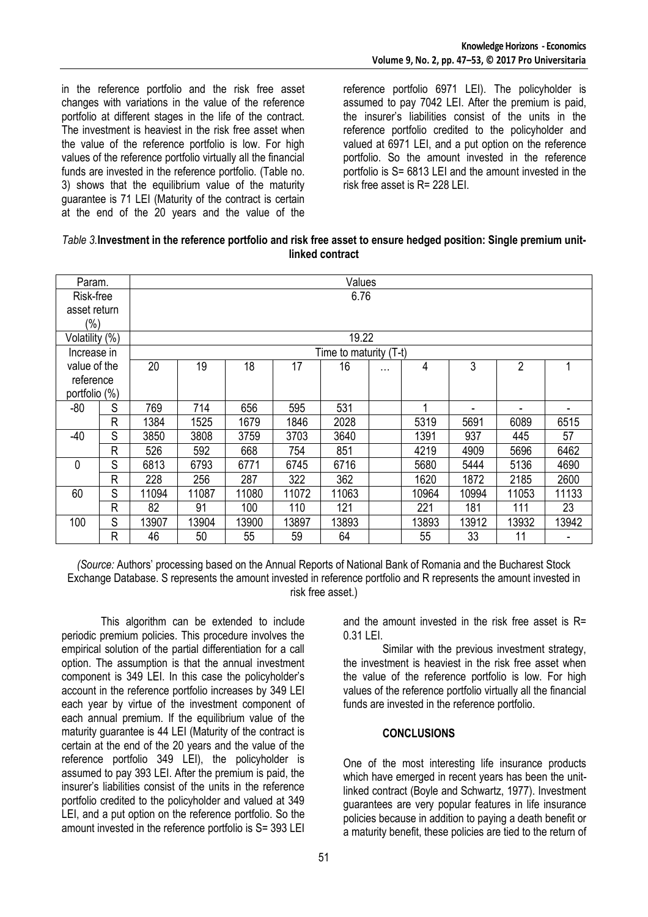in the reference portfolio and the risk free asset changes with variations in the value of the reference portfolio at different stages in the life of the contract. The investment is heaviest in the risk free asset when the value of the reference portfolio is low. For high values of the reference portfolio virtually all the financial funds are invested in the reference portfolio. (Table no. 3) shows that the equilibrium value of the maturity guarantee is 71 LEI (Maturity of the contract is certain at the end of the 20 years and the value of the reference portfolio 6971 LEI). The policyholder is assumed to pay 7042 LEI. After the premium is paid, the insurer's liabilities consist of the units in the reference portfolio credited to the policyholder and valued at 6971 LEI, and a put option on the reference portfolio. So the amount invested in the reference portfolio is S= 6813 LEI and the amount invested in the risk free asset is R= 228 LEI.

| Table 3. Investment in the reference portfolio and risk free asset to ensure hedged position: Single premium unit- |
|--------------------------------------------------------------------------------------------------------------------|
| linked contract                                                                                                    |

| Param.         |              | Values |       |       |       |                        |          |       |       |                |       |
|----------------|--------------|--------|-------|-------|-------|------------------------|----------|-------|-------|----------------|-------|
| Risk-free      |              | 6.76   |       |       |       |                        |          |       |       |                |       |
| asset return   |              |        |       |       |       |                        |          |       |       |                |       |
| $(\% )$        |              |        |       |       |       |                        |          |       |       |                |       |
| Volatility (%) |              | 19.22  |       |       |       |                        |          |       |       |                |       |
| Increase in    |              |        |       |       |       | Time to maturity (T-t) |          |       |       |                |       |
| value of the   |              | 20     | 19    | 18    | 17    | 16                     | $\cdots$ | 4     | 3     | $\overline{2}$ | 1     |
| reference      |              |        |       |       |       |                        |          |       |       |                |       |
| portfolio (%)  |              |        |       |       |       |                        |          |       |       |                |       |
| $-80$          | S            | 769    | 714   | 656   | 595   | 531                    |          | 4     | ٠     |                |       |
|                | R            | 1384   | 1525  | 1679  | 1846  | 2028                   |          | 5319  | 5691  | 6089           | 6515  |
| $-40$          | S            | 3850   | 3808  | 3759  | 3703  | 3640                   |          | 1391  | 937   | 445            | 57    |
|                | R            | 526    | 592   | 668   | 754   | 851                    |          | 4219  | 4909  | 5696           | 6462  |
| 0              | S            | 6813   | 6793  | 6771  | 6745  | 6716                   |          | 5680  | 5444  | 5136           | 4690  |
|                | $\mathsf{R}$ | 228    | 256   | 287   | 322   | 362                    |          | 1620  | 1872  | 2185           | 2600  |
| 60             | S            | 11094  | 11087 | 11080 | 11072 | 11063                  |          | 10964 | 10994 | 11053          | 11133 |
|                | R            | 82     | 91    | 100   | 110   | 121                    |          | 221   | 181   | 111            | 23    |
| 100            | S            | 13907  | 13904 | 13900 | 13897 | 13893                  |          | 13893 | 13912 | 13932          | 13942 |
|                | R            | 46     | 50    | 55    | 59    | 64                     |          | 55    | 33    | 11             |       |

*(Source:* Authors' processing based on the Annual Reports of National Bank of Romania and the Bucharest Stock Exchange Database. S represents the amount invested in reference portfolio and R represents the amount invested in risk free asset.)

This algorithm can be extended to include periodic premium policies. This procedure involves the empirical solution of the partial differentiation for a call option. The assumption is that the annual investment component is 349 LEI. In this case the policyholder's account in the reference portfolio increases by 349 LEI each year by virtue of the investment component of each annual premium. If the equilibrium value of the maturity guarantee is 44 LEI (Maturity of the contract is certain at the end of the 20 years and the value of the reference portfolio 349 LEI), the policyholder is assumed to pay 393 LEI. After the premium is paid, the insurer's liabilities consist of the units in the reference portfolio credited to the policyholder and valued at 349 LEI, and a put option on the reference portfolio. So the amount invested in the reference portfolio is S= 393 LEI

and the amount invested in the risk free asset is R= 0.31 LEI.

Similar with the previous investment strategy, the investment is heaviest in the risk free asset when the value of the reference portfolio is low. For high values of the reference portfolio virtually all the financial funds are invested in the reference portfolio.

#### **CONCLUSIONS**

One of the most interesting life insurance products which have emerged in recent years has been the unitlinked contract (Boyle and Schwartz, 1977). Investment guarantees are very popular features in life insurance policies because in addition to paying a death benefit or a maturity benefit, these policies are tied to the return of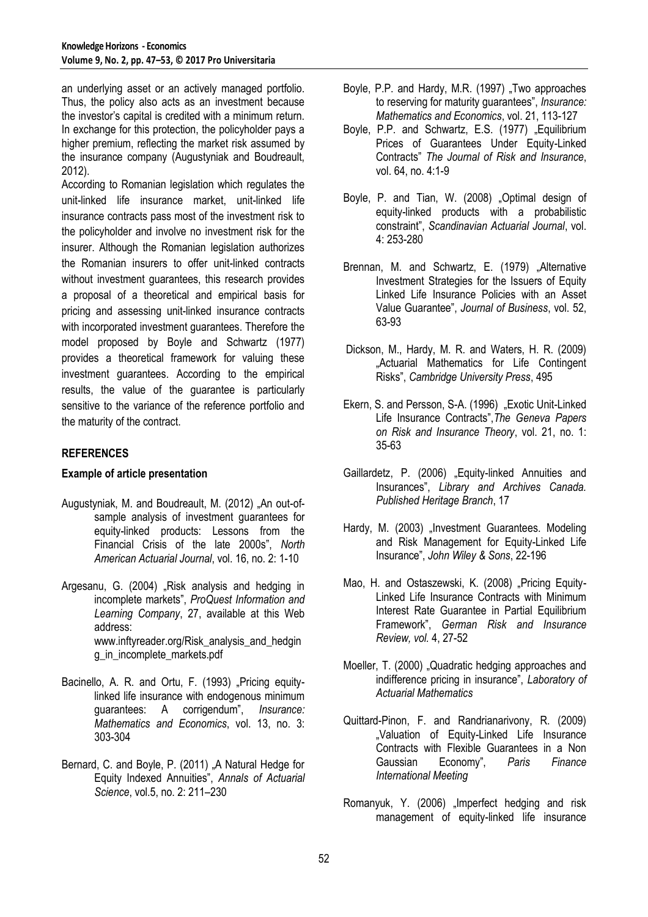an underlying asset or an actively managed portfolio. Thus, the policy also acts as an investment because the investor's capital is credited with a minimum return. In exchange for this protection, the policyholder pays a higher premium, reflecting the market risk assumed by the insurance company (Augustyniak and Boudreault, 2012).

According to Romanian legislation which regulates the unit-linked life insurance market, unit-linked life insurance contracts pass most of the investment risk to the policyholder and involve no investment risk for the insurer. Although the Romanian legislation authorizes the Romanian insurers to offer unit-linked contracts without investment guarantees, this research provides a proposal of a theoretical and empirical basis for pricing and assessing unit-linked insurance contracts with incorporated investment guarantees. Therefore the model proposed by Boyle and Schwartz (1977) provides a theoretical framework for valuing these investment guarantees. According to the empirical results, the value of the guarantee is particularly sensitive to the variance of the reference portfolio and the maturity of the contract.

## **REFERENCES**

#### **Example of article presentation**

- Augustyniak, M. and Boudreault, M. (2012) "An out-ofsample analysis of investment guarantees for equity-linked products: Lessons from the Financial Crisis of the late 2000s", *North American Actuarial Journal*, vol. 16, no. 2: 1-10
- Argesanu, G. (2004) "Risk analysis and hedging in incomplete markets", *ProQuest Information and Learning Company*, 27, available at this Web address: www.inftyreader.org/Risk\_analysis\_and\_hedgin g\_in\_incomplete\_markets.pdf
- Bacinello, A. R. and Ortu, F. (1993) "Pricing equitylinked life insurance with endogenous minimum guarantees: A corrigendum", *Insurance: Mathematics and Economics*, vol. 13, no. 3: 303-304
- Bernard, C. and Boyle, P. (2011) "A Natural Hedge for Equity Indexed Annuities", *Annals of Actuarial Science*, vol.5, no. 2: 211–230
- Boyle, P.P. and Hardy, M.R. (1997) "Two approaches to reserving for maturity guarantees", *Insurance: Mathematics and Economics*, vol. 21, 113-127
- Boyle, P.P. and Schwartz, E.S. (1977) "Equilibrium Prices of Guarantees Under Equity-Linked Contracts" *The Journal of Risk and Insurance*, vol. 64, no. 4:1-9
- Boyle, P. and Tian, W. (2008) "Optimal design of equity-linked products with a probabilistic constraint", *Scandinavian Actuarial Journal*, vol. 4: 253-280
- Brennan, M. and Schwartz, E. (1979) "Alternative Investment Strategies for the Issuers of Equity Linked Life Insurance Policies with an Asset Value Guarantee", *Journal of Business*, vol. 52, 63-93
- Dickson, M., Hardy, M. R. and Waters, H. R. (2009) "Actuarial Mathematics for Life Contingent Risks", *Cambridge University Press*, 495
- Ekern, S. and Persson, S-A. (1996) "Exotic Unit-Linked Life Insurance Contracts",*The Geneva Papers on Risk and Insurance Theory*, vol. 21, no. 1: 35-63
- Gaillardetz, P. (2006) "Equity-linked Annuities and Insurances", *Library and Archives Canada. Published Heritage Branch*, 17
- Hardy, M. (2003) "Investment Guarantees. Modeling and Risk Management for Equity-Linked Life Insurance", *John Wiley & Sons*, 22-196
- Mao, H. and Ostaszewski, K. (2008) "Pricing Equity-Linked Life Insurance Contracts with Minimum Interest Rate Guarantee in Partial Equilibrium Framework", *German Risk and Insurance Review, vol.* 4, 27-52
- Moeller, T. (2000) "Quadratic hedging approaches and indifference pricing in insurance", *Laboratory of Actuarial Mathematics*
- Quittard-Pinon, F. and Randrianarivony, R. (2009) "Valuation of Equity-Linked Life Insurance Contracts with Flexible Guarantees in a Non Gaussian Economy", *Paris Finance International Meeting*
- Romanyuk, Y. (2006) "Imperfect hedging and risk management of equity-linked life insurance